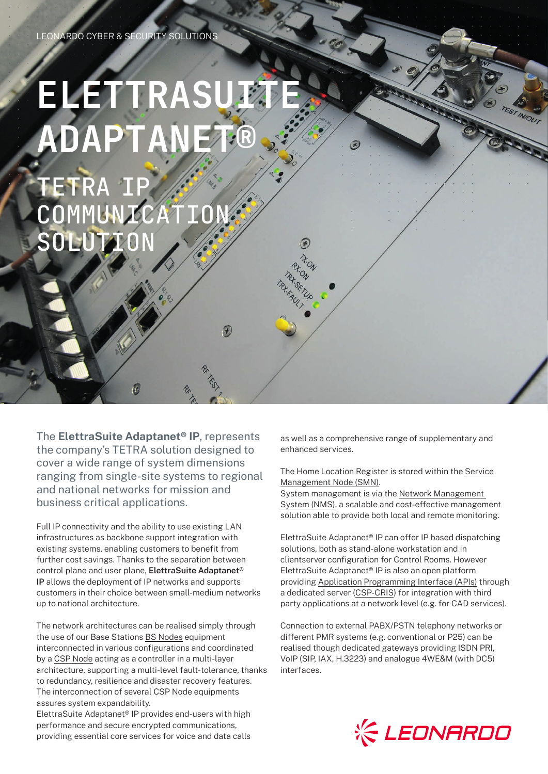# **ELETTRASU ADAPTANET®**

TETRA COMMUNICAT SOLUTI

The **ElettraSuite Adaptanet® IP**, represents the company's TETRA solution designed to cover a wide range of system dimensions ranging from single-site systems to regional and national networks for mission and business critical applications.

M

Full IP connectivity and the ability to use existing LAN infrastructures as backbone support integration with existing systems, enabling customers to benefit from further cost savings. Thanks to the separation between control plane and user plane, **ElettraSuite Adaptanet® IP** allows the deployment of IP networks and supports customers in their choice between small-medium networks up to national architecture.

The network architectures can be realised simply through the use of our Base Stations BS Nodes equipment interconnected in various configurations and coordinated by a CSP Node acting as a controller in a multi-layer architecture, supporting a multi-level fault-tolerance, thanks to redundancy, resilience and disaster recovery features. The interconnection of several CSP Node equipments assures system expandability.

ElettraSuite Adaptanet® IP provides end-users with high performance and secure encrypted communications, providing essential core services for voice and data calls

as well as a comprehensive range of supplementary and enhanced services.

 $\odot$ 

B

ton

#### The Home Location Register is stored within the Service Management Node (SMN).

System management is via the Network Management System (NMS), a scalable and cost-effective management solution able to provide both local and remote monitoring.

ElettraSuite Adaptanet® IP can offer IP based dispatching solutions, both as stand-alone workstation and in clientserver configuration for Control Rooms. However ElettraSuite Adaptanet® IP is also an open platform providing Application Programming Interface (APIs) through a dedicated server (CSP-CRIS) for integration with third party applications at a network level (e.g. for CAD services).

Connection to external PABX/PSTN telephony networks or different PMR systems (e.g. conventional or P25) can be realised though dedicated gateways providing ISDN PRI, VoIP (SIP, IAX, H.3223) and analogue 4WE&M (with DC5) interfaces.